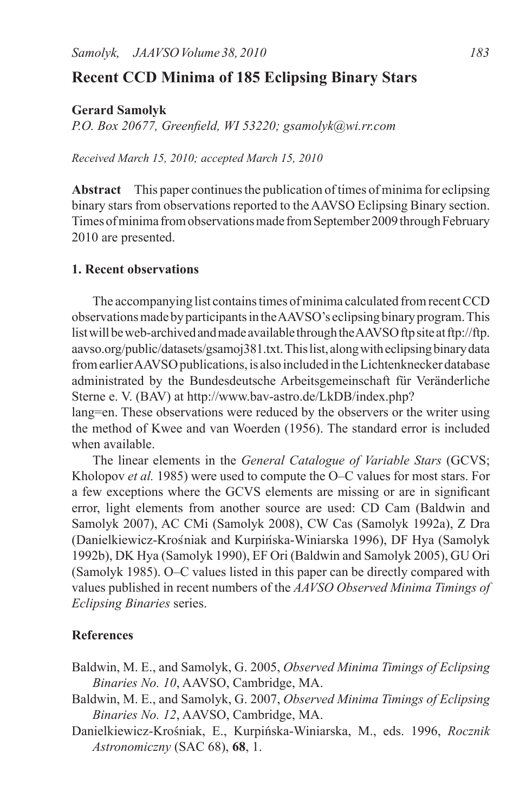## **Recent CCD Minima of 185 Eclipsing Binary Stars**

**Gerard Samolyk**

*P.O. Box 20677, Greenfield, WI 53220; gsamolyk@wi.rr.com*

*Received March 15, 2010; accepted March 15, 2010*

Abstract This paper continues the publication of times of minima for eclipsing binary stars from observations reported to the AAVSO Eclipsing Binary section. Times of minima from observations made from September 2009 through February 2010 are presented.

## **1. Recent observations**

The accompanying list contains times of minima calculated from recent CCD observations made by participants in the AAVSO's eclipsing binary program. This list will be web-archived and made available through the AAVSO ftp site at ftp://ftp. aavso.org/public/datasets/gsamoj381.txt.Thislist,alongwitheclipsingbinarydata from earlier AAVSO publications, is also included in the Lichtenknecker database administrated by the Bundesdeutsche Arbeitsgemeinschaft für Veränderliche Sterne e. V. (BAV) at http://www.bav-astro.de/LkDB/index.php?

lang=en. These observations were reduced by the observers or the writer using the method of Kwee and van Woerden (1956). The standard error is included when available.

The linear elements in the *General Catalogue of Variable Stars* (GCVS; Kholopov *et al.* 1985) were used to compute the O–C values for most stars. For a few exceptions where the GCVS elements are missing or are in significant error, light elements from another source are used: CD Cam (Baldwin and Samolyk 2007), AC CMi (Samolyk 2008), CW Cas (Samolyk 1992a), Z Dra (Danielkiewicz-Krośniak and Kurpińska-Winiarska 1996), DF Hya (Samolyk 1992b), DK Hya (Samolyk 1990), EF Ori (Baldwin and Samolyk 2005), GU Ori (Samolyk 1985). O–C values listed in this paper can be directly compared with values published in recent numbers of the *AAVSO Observed Minima Timings of Eclipsing Binaries* series.

## **References**

- Baldwin, M. E., and Samolyk, G. 2005, *Observed Minima Timings of Eclipsing Binaries No. 10*, AAVSO, Cambridge, MA.
- Baldwin, M. E., and Samolyk, G. 2007, *Observed Minima Timings of Eclipsing Binaries No. 12*, AAVSO, Cambridge, MA.
- Danielkiewicz-Krośniak, E., Kurpińska-Winiarska, M., eds. 1996, *Rocznik Astronomiczny* (SAC 68), **68**, 1.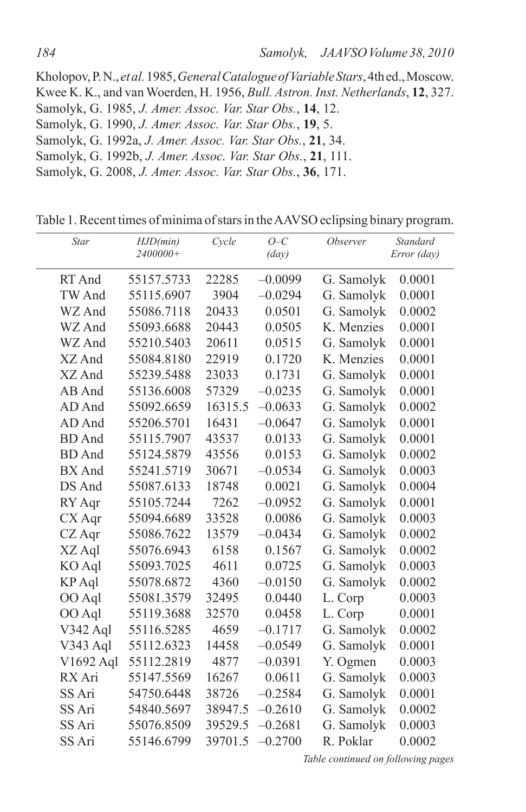Kholopov,P.N., *et al.*1985,*General Catalogue of Variable Stars*,4thed.,Moscow. Kwee K. K., and van Woerden, H. 1956, *Bull. Astron. Inst. Netherlands*, **12**, 327. Samolyk, G. 1985, *J. Amer. Assoc. Var. Star Obs.*, **14**, 12. Samolyk, G. 1990, *J. Amer. Assoc. Var. Star Obs.*, **19**, 5. Samolyk, G. 1992a, *J. Amer. Assoc. Var. Star Obs.*, **21**, 34. Samolyk, G. 1992b, *J. Amer. Assoc. Var. Star Obs.*, **21**, 111. Samolyk, G. 2008, *J. Amer. Assoc. Var. Star Obs.*, **36**, 171.

Table 1. Recent times of minima of stars in the AAVSO eclipsing binary program.

| <b>Star</b>   | HJD(min)   | Cycle   | $O-C$           | <i><b>Observer</b></i> | <b>Standard</b> |
|---------------|------------|---------|-----------------|------------------------|-----------------|
|               | 2400000+   |         | $\frac{day}{)}$ |                        | Error (day)     |
| RT And        | 55157.5733 | 22285   | $-0.0099$       | G. Samolyk             | 0.0001          |
| TW And        | 55115.6907 | 3904    | $-0.0294$       | G. Samolyk             | 0.0001          |
| WZ And        | 55086.7118 | 20433   | 0.0501          | G. Samolyk             | 0.0002          |
| WZ And        | 55093.6688 | 20443   | 0.0505          | K. Menzies             | 0.0001          |
| WZ And        | 55210.5403 | 20611   | 0.0515          | G. Samolyk             | 0.0001          |
| XZ And        | 55084.8180 | 22919   | 0.1720          | K. Menzies             | 0.0001          |
| XZ And        | 55239.5488 | 23033   | 0.1731          | G. Samolyk             | 0.0001          |
| AB And        | 55136.6008 | 57329   | $-0.0235$       | G. Samolyk             | 0.0001          |
| AD And        | 55092.6659 | 16315.5 | $-0.0633$       | G. Samolyk             | 0.0002          |
| AD And        | 55206.5701 | 16431   | $-0.0647$       | G. Samolyk             | 0.0001          |
| <b>BD</b> And | 55115.7907 | 43537   | 0.0133          | G. Samolyk             | 0.0001          |
| <b>BD</b> And | 55124.5879 | 43556   | 0.0153          | G. Samolyk             | 0.0002          |
| BX And        | 55241.5719 | 30671   | $-0.0534$       | G. Samolyk             | 0.0003          |
| DS And        | 55087.6133 | 18748   | 0.0021          | G. Samolyk             | 0.0004          |
| RY Aqr        | 55105.7244 | 7262    | $-0.0952$       | G. Samolyk             | 0.0001          |
| CX Aqr        | 55094.6689 | 33528   | 0.0086          | G. Samolyk             | 0.0003          |
| CZ Aqr        | 55086.7622 | 13579   | $-0.0434$       | G. Samolyk             | 0.0002          |
| XZ Aql        | 55076.6943 | 6158    | 0.1567          | G. Samolyk             | 0.0002          |
| KO Aql        | 55093.7025 | 4611    | 0.0725          | G. Samolyk             | 0.0003          |
| KP Aql        | 55078.6872 | 4360    | $-0.0150$       | G. Samolyk             | 0.0002          |
| OO Aql        | 55081.3579 | 32495   | 0.0440          | L. Corp                | 0.0003          |
| OO Aql        | 55119.3688 | 32570   | 0.0458          | L. Corp                | 0.0001          |
| V342 Aql      | 55116.5285 | 4659    | $-0.1717$       | G. Samolyk             | 0.0002          |
| V343 Aql      | 55112.6323 | 14458   | $-0.0549$       | G. Samolyk             | 0.0001          |
| V1692 Aql     | 55112.2819 | 4877    | $-0.0391$       | Y. Ogmen               | 0.0003          |
| RX Ari        | 55147.5569 | 16267   | 0.0611          | G. Samolyk             | 0.0003          |
| SS Ari        | 54750.6448 | 38726   | $-0.2584$       | G. Samolyk             | 0.0001          |
| SS Ari        | 54840.5697 | 38947.5 | $-0.2610$       | G. Samolyk             | 0.0002          |
| SS Ari        | 55076.8509 | 39529.5 | $-0.2681$       | G. Samolyk             | 0.0003          |
| SS Ari        | 55146.6799 | 39701.5 | $-0.2700$       | R. Poklar              | 0.0002          |

*Table continued on following pages*

 $\overline{a}$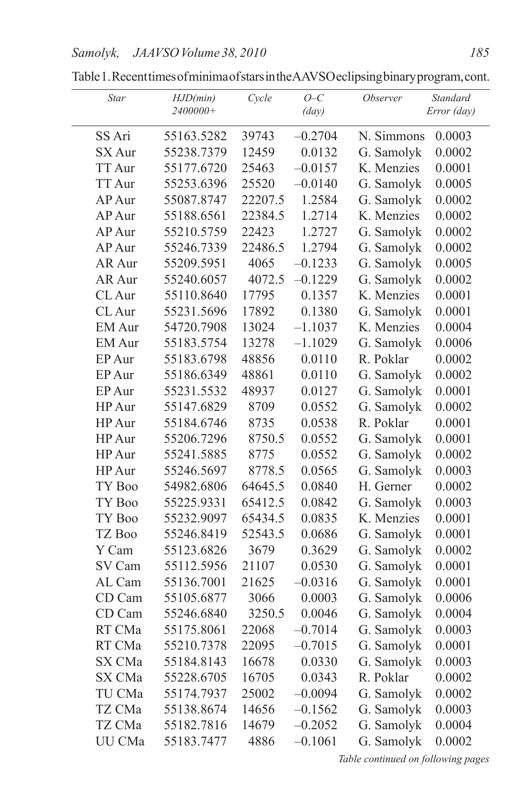| Star          | HJD(min)<br>2400000+ | Cycle   | $O-C$<br>$\frac{day}{)}$ | <i>Observer</i> | Standard<br>Error (day) |
|---------------|----------------------|---------|--------------------------|-----------------|-------------------------|
| SS Ari        | 55163.5282           | 39743   | $-0.2704$                | N. Simmons      | 0.0003                  |
| SX Aur        | 55238.7379           | 12459   | 0.0132                   | G. Samolyk      | 0.0002                  |
| <b>TT Aur</b> | 55177.6720           | 25463   | $-0.0157$                | K. Menzies      | 0.0001                  |
| <b>TT Aur</b> | 55253.6396           | 25520   | $-0.0140$                | G. Samolyk      | 0.0005                  |
| AP Aur        | 55087.8747           | 22207.5 | 1.2584                   | G. Samolyk      | 0.0002                  |
| AP Aur        | 55188.6561           | 22384.5 | 1.2714                   | K. Menzies      | 0.0002                  |
| AP Aur        | 55210.5759           | 22423   | 1.2727                   | G. Samolyk      | 0.0002                  |
| AP Aur        | 55246.7339           | 22486.5 | 1.2794                   | G. Samolyk      | 0.0002                  |
| AR Aur        | 55209.5951           | 4065    | $-0.1233$                | G. Samolyk      | 0.0005                  |
| AR Aur        | 55240.6057           | 4072.5  | $-0.1229$                | G. Samolyk      | 0.0002                  |
| CL Aur        | 55110.8640           | 17795   | 0.1357                   | K. Menzies      | 0.0001                  |
| CL Aur        | 55231.5696           | 17892   | 0.1380                   | G. Samolyk      | 0.0001                  |
| <b>EM</b> Aur | 54720.7908           | 13024   | $-1.1037$                | K. Menzies      | 0.0004                  |
| EM Aur        | 55183.5754           | 13278   | $-1.1029$                | G. Samolyk      | 0.0006                  |
| EP Aur        | 55183.6798           | 48856   | 0.0110                   | R. Poklar       | 0.0002                  |
| EP Aur        | 55186.6349           | 48861   | 0.0110                   | G. Samolyk      | 0.0002                  |
| EP Aur        | 55231.5532           | 48937   | 0.0127                   | G. Samolyk      | 0.0001                  |
| HP Aur        | 55147.6829           | 8709    | 0.0552                   | G. Samolyk      | 0.0002                  |
| HP Aur        | 55184.6746           | 8735    | 0.0538                   | R. Poklar       | 0.0001                  |
| HP Aur        | 55206.7296           | 8750.5  | 0.0552                   | G. Samolyk      | 0.0001                  |
| HP Aur        | 55241.5885           | 8775    | 0.0552                   | G. Samolyk      | 0.0002                  |
| HP Aur        | 55246.5697           | 8778.5  | 0.0565                   | G. Samolyk      | 0.0003                  |
| TY Boo        | 54982.6806           | 64645.5 | 0.0840                   | H. Gerner       | 0.0002                  |
| TY Boo        | 55225.9331           | 65412.5 | 0.0842                   | G. Samolyk      | 0.0003                  |
| TY Boo        | 55232.9097           | 65434.5 | 0.0835                   | K. Menzies      | 0.0001                  |
| TZ Boo        | 55246.8419           | 52543.5 | 0.0686                   | G. Samolyk      | 0.0001                  |
| Y Cam         | 55123.6826           | 3679    | 0.3629                   | G. Samolyk      | 0.0002                  |
| SV Cam        | 55112.5956           | 21107   | 0.0530                   | G. Samolyk      | 0.0001                  |
| AL Cam        | 55136.7001           | 21625   | $-0.0316$                | G. Samolyk      | 0.0001                  |
| CD Cam        | 55105.6877           | 3066    | 0.0003                   | G. Samolyk      | 0.0006                  |
| CD Cam        | 55246.6840           | 3250.5  | 0.0046                   | G. Samolyk      | 0.0004                  |
| RT CMa        | 55175.8061           | 22068   | $-0.7014$                | G. Samolyk      | 0.0003                  |
| RT CMa        | 55210.7378           | 22095   | $-0.7015$                | G. Samolyk      | 0.0001                  |
| SX CMa        | 55184.8143           | 16678   | 0.0330                   | G. Samolyk      | 0.0003                  |
| SX CMa        | 55228.6705           | 16705   | 0.0343                   | R. Poklar       | 0.0002                  |
| TU CMa        | 55174.7937           | 25002   | $-0.0094$                | G. Samolyk      | 0.0002                  |
| TZ CMa        | 55138.8674           | 14656   | $-0.1562$                | G. Samolyk      | 0.0003                  |
| TZ CMa        | 55182.7816           | 14679   | $-0.2052$                | G. Samolyk      | 0.0004                  |
| UU CMa        | 55183.7477           | 4886    | $-0.1061$                | G. Samolyk      | 0.0002                  |

Table1.RecenttimesofminimaofstarsintheAAVSOeclipsingbinaryprogram,cont.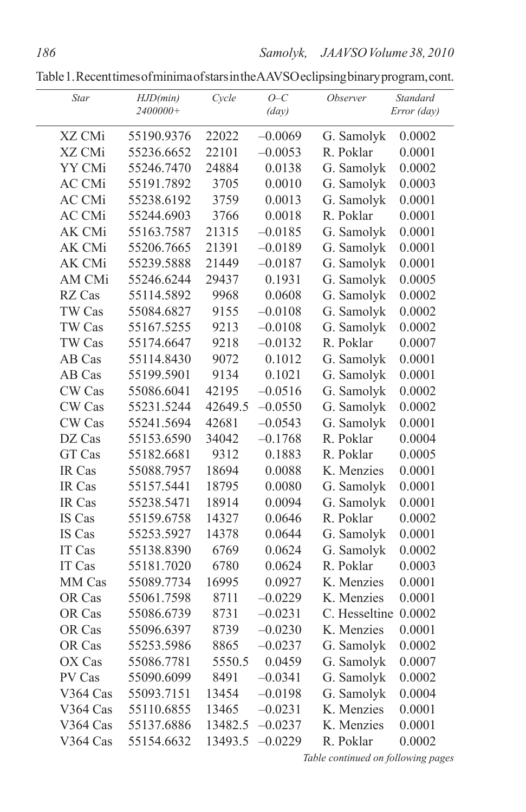Table1.RecenttimesofminimaofstarsintheAAVSOeclipsingbinaryprogram,cont.

| Star          | HJD(min)<br>2400000+ | Cycle   | $O-C$<br>$\frac{day}{)}$ | <i><b>Observer</b></i> | Standard<br>Error (day) |
|---------------|----------------------|---------|--------------------------|------------------------|-------------------------|
| XZ CMi        | 55190.9376           | 22022   | $-0.0069$                | G. Samolyk             | 0.0002                  |
| XZ CMi        | 55236.6652           | 22101   | $-0.0053$                | R. Poklar              | 0.0001                  |
| YY CMi        | 55246.7470           | 24884   | 0.0138                   | G. Samolyk             | 0.0002                  |
| <b>AC CMi</b> | 55191.7892           | 3705    | 0.0010                   | G. Samolyk             | 0.0003                  |
| <b>AC CMi</b> | 55238.6192           | 3759    | 0.0013                   | G. Samolyk             | 0.0001                  |
| AC CMi        | 55244.6903           | 3766    | 0.0018                   | R. Poklar              | 0.0001                  |
| AK CMi        | 55163.7587           | 21315   | $-0.0185$                | G. Samolyk             | 0.0001                  |
| AK CMi        | 55206.7665           | 21391   | $-0.0189$                | G. Samolyk             | 0.0001                  |
| AK CMi        | 55239.5888           | 21449   | $-0.0187$                | G. Samolyk             | 0.0001                  |
| AM CMi        | 55246.6244           | 29437   | 0.1931                   | G. Samolyk             | 0.0005                  |
| RZ Cas        | 55114.5892           | 9968    | 0.0608                   | G. Samolyk             | 0.0002                  |
| TW Cas        | 55084.6827           | 9155    | $-0.0108$                | G. Samolyk             | 0.0002                  |
| TW Cas        | 55167.5255           | 9213    | $-0.0108$                | G. Samolyk             | 0.0002                  |
| TW Cas        | 55174.6647           | 9218    | $-0.0132$                | R. Poklar              | 0.0007                  |
| AB Cas        | 55114.8430           | 9072    | 0.1012                   | G. Samolyk             | 0.0001                  |
| AB Cas        | 55199.5901           | 9134    | 0.1021                   | G. Samolyk             | 0.0001                  |
| CW Cas        | 55086.6041           | 42195   | $-0.0516$                | G. Samolyk             | 0.0002                  |
| CW Cas        | 55231.5244           | 42649.5 | $-0.0550$                | G. Samolyk             | 0.0002                  |
| CW Cas        | 55241.5694           | 42681   | $-0.0543$                | G. Samolyk             | 0.0001                  |
| DZ Cas        | 55153.6590           | 34042   | $-0.1768$                | R. Poklar              | 0.0004                  |
| <b>GT</b> Cas | 55182.6681           | 9312    | 0.1883                   | R. Poklar              | 0.0005                  |
| IR Cas        | 55088.7957           | 18694   | 0.0088                   | K. Menzies             | 0.0001                  |
| IR Cas        | 55157.5441           | 18795   | 0.0080                   | G. Samolyk             | 0.0001                  |
| IR Cas        | 55238.5471           | 18914   | 0.0094                   | G. Samolyk             | 0.0001                  |
| IS Cas        | 55159.6758           | 14327   | 0.0646                   | R. Poklar              | 0.0002                  |
| IS Cas        | 55253.5927           | 14378   | 0.0644                   | G. Samolyk             | 0.0001                  |
| IT Cas        | 55138.8390           | 6769    | 0.0624                   | G. Samolyk             | 0.0002                  |
| IT Cas        | 55181.7020           | 6780    | 0.0624                   | R. Poklar              | 0.0003                  |
| MM Cas        | 55089.7734           | 16995   | 0.0927                   | K. Menzies             | 0.0001                  |
| OR Cas        | 55061.7598           | 8711    | $-0.0229$                | K. Menzies             | 0.0001                  |
| OR Cas        | 55086.6739           | 8731    | $-0.0231$                | C. Hesseltine          | 0.0002                  |
| OR Cas        | 55096.6397           | 8739    | $-0.0230$                | K. Menzies             | 0.0001                  |
| OR Cas        | 55253.5986           | 8865    | $-0.0237$                | G. Samolyk             | 0.0002                  |
| OX Cas        | 55086.7781           | 5550.5  | 0.0459                   | G. Samolyk             | 0.0007                  |
| PV Cas        | 55090.6099           | 8491    | $-0.0341$                | G. Samolyk             | 0.0002                  |
| V364 Cas      | 55093.7151           | 13454   | $-0.0198$                | G. Samolyk             | 0.0004                  |
| V364 Cas      | 55110.6855           | 13465   | $-0.0231$                | K. Menzies             | 0.0001                  |
| V364 Cas      | 55137.6886           | 13482.5 | $-0.0237$                | K. Menzies             | 0.0001                  |
| V364 Cas      | 55154.6632           | 13493.5 | $-0.0229$                | R. Poklar              | 0.0002                  |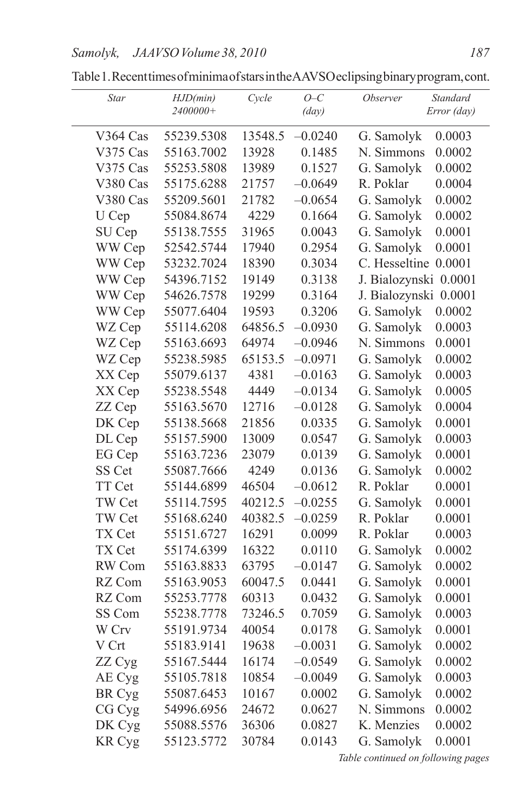| Star          | HJD(min)<br>2400000+ | Cycle   | $O-C$<br>$\frac{day}{)}$ | <i><b>Observer</b></i> | Standard<br>Error (day) |
|---------------|----------------------|---------|--------------------------|------------------------|-------------------------|
| V364 Cas      | 55239.5308           | 13548.5 | $-0.0240$                | G. Samolyk             | 0.0003                  |
| V375 Cas      | 55163.7002           | 13928   | 0.1485                   | N. Simmons             | 0.0002                  |
| V375 Cas      | 55253.5808           | 13989   | 0.1527                   | G. Samolyk             | 0.0002                  |
| V380 Cas      | 55175.6288           | 21757   | $-0.0649$                | R. Poklar              | 0.0004                  |
| V380 Cas      | 55209.5601           | 21782   | $-0.0654$                | G. Samolyk             | 0.0002                  |
| U Cep         | 55084.8674           | 4229    | 0.1664                   | G. Samolyk             | 0.0002                  |
| SU Cep        | 55138.7555           | 31965   | 0.0043                   | G. Samolyk             | 0.0001                  |
| WW Cep        | 52542.5744           | 17940   | 0.2954                   | G. Samolyk             | 0.0001                  |
| WW Cep        | 53232.7024           | 18390   | 0.3034                   | C. Hesseltine 0.0001   |                         |
| WW Cep        | 54396.7152           | 19149   | 0.3138                   | J. Bialozynski 0.0001  |                         |
| WW Cep        | 54626.7578           | 19299   | 0.3164                   | J. Bialozynski 0.0001  |                         |
| WW Cep        | 55077.6404           | 19593   | 0.3206                   | G. Samolyk             | 0.0002                  |
| WZ Cep        | 55114.6208           | 64856.5 | $-0.0930$                | G. Samolyk             | 0.0003                  |
| WZ Cep        | 55163.6693           | 64974   | $-0.0946$                | N. Simmons             | 0.0001                  |
| WZ Cep        | 55238.5985           | 65153.5 | $-0.0971$                | G. Samolyk             | 0.0002                  |
| XX Cep        | 55079.6137           | 4381    | $-0.0163$                | G. Samolyk             | 0.0003                  |
| XX Cep        | 55238.5548           | 4449    | $-0.0134$                | G. Samolyk             | 0.0005                  |
| ZZ Cep        | 55163.5670           | 12716   | $-0.0128$                | G. Samolyk             | 0.0004                  |
| DK Cep        | 55138.5668           | 21856   | 0.0335                   | G. Samolyk             | 0.0001                  |
| DL Cep        | 55157.5900           | 13009   | 0.0547                   | G. Samolyk             | 0.0003                  |
| EG Cep        | 55163.7236           | 23079   | 0.0139                   | G. Samolyk             | 0.0001                  |
| SS Cet        | 55087.7666           | 4249    | 0.0136                   | G. Samolyk             | 0.0002                  |
| TT Cet        | 55144.6899           | 46504   | $-0.0612$                | R. Poklar              | 0.0001                  |
| TW Cet        | 55114.7595           | 40212.5 | $-0.0255$                | G. Samolyk             | 0.0001                  |
| TW Cet        | 55168.6240           | 40382.5 | $-0.0259$                | R. Poklar              | 0.0001                  |
| TX Cet        | 55151.6727           | 16291   | 0.0099                   | R. Poklar              | 0.0003                  |
| TX Cet        | 55174.6399           | 16322   | 0.0110                   | G. Samolyk             | 0.0002                  |
| RW Com        | 55163.8833           | 63795   | $-0.0147$                | G. Samolyk             | 0.0002                  |
| RZ Com        | 55163.9053           | 60047.5 | 0.0441                   | G. Samolyk             | 0.0001                  |
| RZ Com        | 55253.7778           | 60313   | 0.0432                   | G. Samolyk             | 0.0001                  |
| SS Com        | 55238.7778           | 73246.5 | 0.7059                   | G. Samolyk             | 0.0003                  |
| W Crv         | 55191.9734           | 40054   | 0.0178                   | G. Samolyk             | 0.0001                  |
| V Crt         | 55183.9141           | 19638   | $-0.0031$                | G. Samolyk             | 0.0002                  |
| ZZ Cyg        | 55167.5444           | 16174   | $-0.0549$                | G. Samolyk             | 0.0002                  |
| AE Cyg        | 55105.7818           | 10854   | $-0.0049$                | G. Samolyk             | 0.0003                  |
| BR Cyg        | 55087.6453           | 10167   | 0.0002                   | G. Samolyk             | 0.0002                  |
| CG Cyg        | 54996.6956           | 24672   | 0.0627                   | N. Simmons             | 0.0002                  |
| DK Cyg        | 55088.5576           | 36306   | 0.0827                   | K. Menzies             | 0.0002                  |
| <b>KR</b> Cyg | 55123.5772           | 30784   | 0.0143                   | G. Samolyk             | 0.0001                  |

Table1.RecenttimesofminimaofstarsintheAAVSOeclipsingbinaryprogram,cont.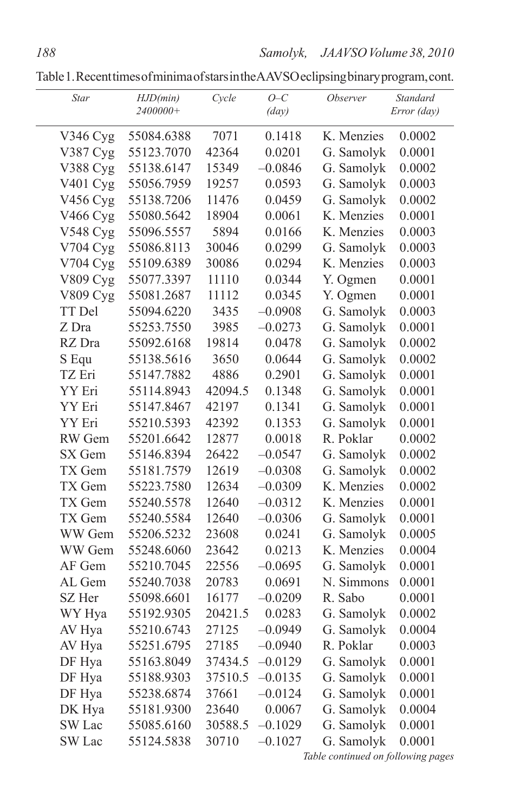Table1.RecenttimesofminimaofstarsintheAAVSOeclipsingbinaryprogram,cont.

| Star                 | HJD(min)<br>2400000+ | Cycle   | $O-C$<br>$\frac{day}{)}$ | <i><b>Observer</b></i> | Standard<br>Error (day) |
|----------------------|----------------------|---------|--------------------------|------------------------|-------------------------|
| V346 Cyg             | 55084.6388           | 7071    | 0.1418                   | K. Menzies             | 0.0002                  |
| V387 Cyg             | 55123.7070           | 42364   | 0.0201                   | G. Samolyk             | 0.0001                  |
| V388 Cyg             | 55138.6147           | 15349   | $-0.0846$                | G. Samolyk             | 0.0002                  |
| V <sub>401</sub> Cyg | 55056.7959           | 19257   | 0.0593                   | G. Samolyk             | 0.0003                  |
| V456 Cyg             | 55138.7206           | 11476   | 0.0459                   | G. Samolyk             | 0.0002                  |
| V466 Cyg             | 55080.5642           | 18904   | 0.0061                   | K. Menzies             | 0.0001                  |
| V548 Cyg             | 55096.5557           | 5894    | 0.0166                   | K. Menzies             | 0.0003                  |
| V704 Cyg             | 55086.8113           | 30046   | 0.0299                   | G. Samolyk             | 0.0003                  |
| V704 Cyg             | 55109.6389           | 30086   | 0.0294                   | K. Menzies             | 0.0003                  |
| V809 Cyg             | 55077.3397           | 11110   | 0.0344                   | Y. Ogmen               | 0.0001                  |
| V809 Cyg             | 55081.2687           | 11112   | 0.0345                   | Y. Ogmen               | 0.0001                  |
| TT Del               | 55094.6220           | 3435    | $-0.0908$                | G. Samolyk             | 0.0003                  |
| Z Dra                | 55253.7550           | 3985    | $-0.0273$                | G. Samolyk             | 0.0001                  |
| RZ Dra               | 55092.6168           | 19814   | 0.0478                   | G. Samolyk             | 0.0002                  |
| S Equ                | 55138.5616           | 3650    | 0.0644                   | G. Samolyk             | 0.0002                  |
| TZ Eri               | 55147.7882           | 4886    | 0.2901                   | G. Samolyk             | 0.0001                  |
| YY Eri               | 55114.8943           | 42094.5 | 0.1348                   | G. Samolyk             | 0.0001                  |
| YY Eri               | 55147.8467           | 42197   | 0.1341                   | G. Samolyk             | 0.0001                  |
| YY Eri               | 55210.5393           | 42392   | 0.1353                   | G. Samolyk             | 0.0001                  |
| RW Gem               | 55201.6642           | 12877   | 0.0018                   | R. Poklar              | 0.0002                  |
| SX Gem               | 55146.8394           | 26422   | $-0.0547$                | G. Samolyk             | 0.0002                  |
| TX Gem               | 55181.7579           | 12619   | $-0.0308$                | G. Samolyk             | 0.0002                  |
| TX Gem               | 55223.7580           | 12634   | $-0.0309$                | K. Menzies             | 0.0002                  |
| TX Gem               | 55240.5578           | 12640   | $-0.0312$                | K. Menzies             | 0.0001                  |
| TX Gem               | 55240.5584           | 12640   | $-0.0306$                | G. Samolyk             | 0.0001                  |
| WW Gem               | 55206.5232           | 23608   | 0.0241                   | G. Samolyk             | 0.0005                  |
| WW Gem               | 55248.6060           | 23642   | 0.0213                   | K. Menzies             | 0.0004                  |
| AF Gem               | 55210.7045           | 22556   | $-0.0695$                | G. Samolyk             | 0.0001                  |
| AL Gem               | 55240.7038           | 20783   | 0.0691                   | N. Simmons             | 0.0001                  |
| SZ Her               | 55098.6601           | 16177   | $-0.0209$                | R. Sabo                | 0.0001                  |
| WY Hya               | 55192.9305           | 20421.5 | 0.0283                   | G. Samolyk             | 0.0002                  |
| AV Hya               | 55210.6743           | 27125   | $-0.0949$                | G. Samolyk             | 0.0004                  |
| AV Hya               | 55251.6795           | 27185   | $-0.0940$                | R. Poklar              | 0.0003                  |
| DF Hya               | 55163.8049           | 37434.5 | $-0.0129$                | G. Samolyk             | 0.0001                  |
| DF Hya               | 55188.9303           | 37510.5 | $-0.0135$                | G. Samolyk             | 0.0001                  |
| DF Hya               | 55238.6874           | 37661   | $-0.0124$                | G. Samolyk             | 0.0001                  |
| DK Hya               | 55181.9300           | 23640   | 0.0067                   | G. Samolyk             | 0.0004                  |
| SW Lac               | 55085.6160           | 30588.5 | $-0.1029$                | G. Samolyk             | 0.0001                  |
| SW Lac               | 55124.5838           | 30710   | $-0.1027$                | G. Samolyk             | 0.0001                  |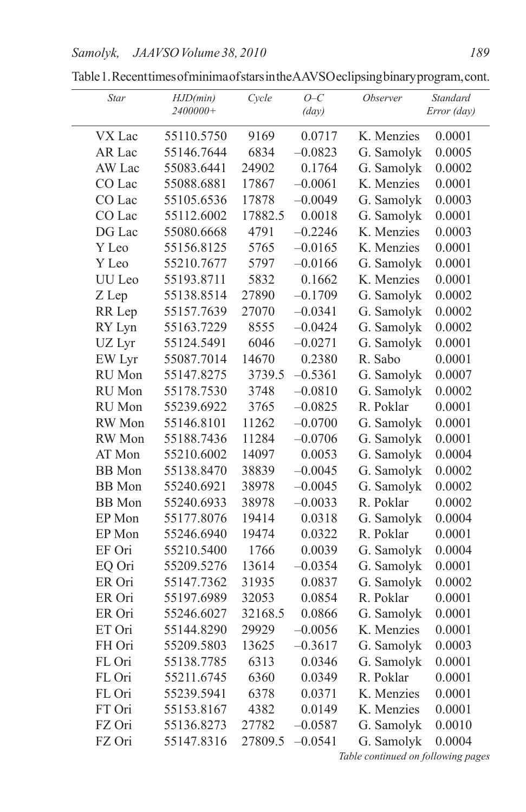| Star          | HJD(min)<br>2400000+ | Cycle   | $O-C$<br>$\frac{day}{)}$ | Observer   | Standard<br>Error (day) |
|---------------|----------------------|---------|--------------------------|------------|-------------------------|
| VX Lac        | 55110.5750           | 9169    | 0.0717                   | K. Menzies | 0.0001                  |
| AR Lac        | 55146.7644           | 6834    | $-0.0823$                | G. Samolyk | 0.0005                  |
| AW Lac        | 55083.6441           | 24902   | 0.1764                   | G. Samolyk | 0.0002                  |
| CO Lac        | 55088.6881           | 17867   | $-0.0061$                | K. Menzies | 0.0001                  |
| CO Lac        | 55105.6536           | 17878   | $-0.0049$                | G. Samolyk | 0.0003                  |
| CO Lac        | 55112.6002           | 17882.5 | 0.0018                   | G. Samolyk | 0.0001                  |
| DG Lac        | 55080.6668           | 4791    | $-0.2246$                | K. Menzies | 0.0003                  |
| Y Leo         | 55156.8125           | 5765    | $-0.0165$                | K. Menzies | 0.0001                  |
| Y Leo         | 55210.7677           | 5797    | $-0.0166$                | G. Samolyk | 0.0001                  |
| UU Leo        | 55193.8711           | 5832    | 0.1662                   | K. Menzies | 0.0001                  |
| Z Lep         | 55138.8514           | 27890   | $-0.1709$                | G. Samolyk | 0.0002                  |
| RR Lep        | 55157.7639           | 27070   | $-0.0341$                | G. Samolyk | 0.0002                  |
| RY Lyn        | 55163.7229           | 8555    | $-0.0424$                | G. Samolyk | 0.0002                  |
| UZ Lyr        | 55124.5491           | 6046    | $-0.0271$                | G. Samolyk | 0.0001                  |
| EW Lyr        | 55087.7014           | 14670   | 0.2380                   | R. Sabo    | 0.0001                  |
| RU Mon        | 55147.8275           | 3739.5  | $-0.5361$                | G. Samolyk | 0.0007                  |
| RU Mon        | 55178.7530           | 3748    | $-0.0810$                | G. Samolyk | 0.0002                  |
| RU Mon        | 55239.6922           | 3765    | $-0.0825$                | R. Poklar  | 0.0001                  |
| RW Mon        | 55146.8101           | 11262   | $-0.0700$                | G. Samolyk | 0.0001                  |
| RW Mon        | 55188.7436           | 11284   | $-0.0706$                | G. Samolyk | 0.0001                  |
| AT Mon        | 55210.6002           | 14097   | 0.0053                   | G. Samolyk | 0.0004                  |
| <b>BB</b> Mon | 55138.8470           | 38839   | $-0.0045$                | G. Samolyk | 0.0002                  |
| <b>BB</b> Mon | 55240.6921           | 38978   | $-0.0045$                | G. Samolyk | 0.0002                  |
| <b>BB</b> Mon | 55240.6933           | 38978   | $-0.0033$                | R. Poklar  | 0.0002                  |
| EP Mon        | 55177.8076           | 19414   | 0.0318                   | G. Samolyk | 0.0004                  |
| EP Mon        | 55246.6940           | 19474   | 0.0322                   | R. Poklar  | 0.0001                  |
| EF Ori        | 55210.5400           | 1766    | 0.0039                   | G. Samolyk | 0.0004                  |
| EQ Ori        | 55209.5276           | 13614   | $-0.0354$                | G. Samolyk | 0.0001                  |
| ER Ori        | 55147.7362           | 31935   | 0.0837                   | G. Samolyk | 0.0002                  |
| ER Ori        | 55197.6989           | 32053   | 0.0854                   | R. Poklar  | 0.0001                  |
| ER Ori        | 55246.6027           | 32168.5 | 0.0866                   | G. Samolyk | 0.0001                  |
| ET Ori        | 55144.8290           | 29929   | $-0.0056$                | K. Menzies | 0.0001                  |
| FH Ori        | 55209.5803           | 13625   | $-0.3617$                | G. Samolyk | 0.0003                  |
| FL Ori        | 55138.7785           | 6313    | 0.0346                   | G. Samolyk | 0.0001                  |
| FL Ori        | 55211.6745           | 6360    | 0.0349                   | R. Poklar  | 0.0001                  |
| FL Ori        | 55239.5941           | 6378    | 0.0371                   | K. Menzies | 0.0001                  |
| FT Ori        | 55153.8167           | 4382    | 0.0149                   | K. Menzies | 0.0001                  |
| FZ Ori        | 55136.8273           | 27782   | $-0.0587$                | G. Samolyk | 0.0010                  |
| FZ Ori        | 55147.8316           | 27809.5 | $-0.0541$                | G. Samolyk | 0.0004                  |

Table1.RecenttimesofminimaofstarsintheAAVSOeclipsingbinaryprogram,cont.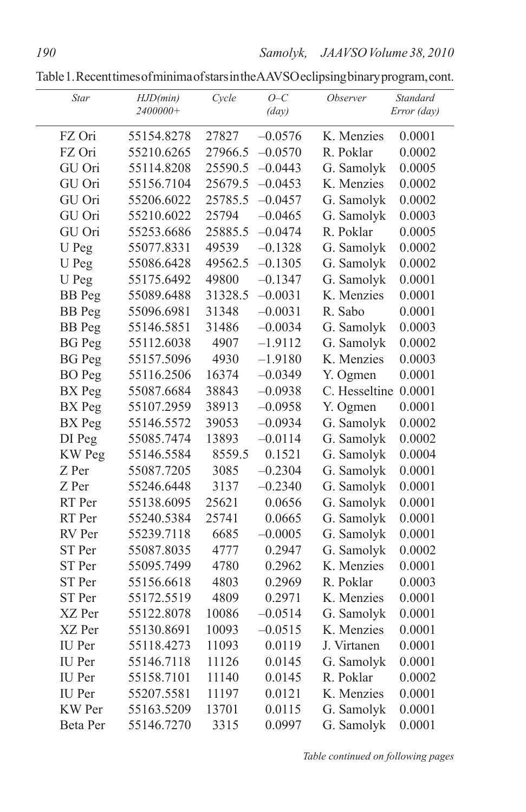Table1.RecenttimesofminimaofstarsintheAAVSOeclipsingbinaryprogram,cont.

|       | Star          | HJD(min)<br>2400000+ | Cycle   | $O-C$<br>(day) | <i><b>Observer</b></i> | <b>Standard</b><br>Error (day) |
|-------|---------------|----------------------|---------|----------------|------------------------|--------------------------------|
|       | FZ Ori        | 55154.8278           | 27827   | $-0.0576$      | K. Menzies             | 0.0001                         |
|       | FZ Ori        | 55210.6265           | 27966.5 | $-0.0570$      | R. Poklar              | 0.0002                         |
|       | GU Ori        | 55114.8208           | 25590.5 | $-0.0443$      | G. Samolyk             | 0.0005                         |
|       | GU Ori        | 55156.7104           | 25679.5 | $-0.0453$      | K. Menzies             | 0.0002                         |
|       | GU Ori        | 55206.6022           | 25785.5 | $-0.0457$      | G. Samolyk             | 0.0002                         |
|       | GU Ori        | 55210.6022           | 25794   | $-0.0465$      | G. Samolyk             | 0.0003                         |
|       | GU Ori        | 55253.6686           | 25885.5 | $-0.0474$      | R. Poklar              | 0.0005                         |
|       | U Peg         | 55077.8331           | 49539   | $-0.1328$      | G. Samolyk             | 0.0002                         |
|       | U Peg         | 55086.6428           | 49562.5 | $-0.1305$      | G. Samolyk             | 0.0002                         |
|       | U Peg         | 55175.6492           | 49800   | $-0.1347$      | G. Samolyk             | 0.0001                         |
|       | <b>BB</b> Peg | 55089.6488           | 31328.5 | $-0.0031$      | K. Menzies             | 0.0001                         |
|       | <b>BB</b> Peg | 55096.6981           | 31348   | $-0.0031$      | R. Sabo                | 0.0001                         |
|       | <b>BB</b> Peg | 55146.5851           | 31486   | $-0.0034$      | G. Samolyk             | 0.0003                         |
|       | <b>BG</b> Peg | 55112.6038           | 4907    | $-1.9112$      | G. Samolyk             | 0.0002                         |
|       | <b>BG</b> Peg | 55157.5096           | 4930    | $-1.9180$      | K. Menzies             | 0.0003                         |
|       | <b>BO</b> Peg | 55116.2506           | 16374   | $-0.0349$      | Y. Ogmen               | 0.0001                         |
|       | BX Peg        | 55087.6684           | 38843   | $-0.0938$      | C. Hesseltine          | 0.0001                         |
|       | BX Peg        | 55107.2959           | 38913   | $-0.0958$      | Y. Ogmen               | 0.0001                         |
|       | BX Peg        | 55146.5572           | 39053   | $-0.0934$      | G. Samolyk             | 0.0002                         |
|       | DI Peg        | 55085.7474           | 13893   | $-0.0114$      | G. Samolyk             | 0.0002                         |
|       | KW Peg        | 55146.5584           | 8559.5  | 0.1521         | G. Samolyk             | 0.0004                         |
| Z Per |               | 55087.7205           | 3085    | $-0.2304$      | G. Samolyk             | 0.0001                         |
| Z Per |               | 55246.6448           | 3137    | $-0.2340$      | G. Samolyk             | 0.0001                         |
|       | RT Per        | 55138.6095           | 25621   | 0.0656         | G. Samolyk             | 0.0001                         |
|       | RT Per        | 55240.5384           | 25741   | 0.0665         | G. Samolyk             | 0.0001                         |
|       | RV Per        | 55239.7118           | 6685    | $-0.0005$      | G. Samolyk             | 0.0001                         |
|       | ST Per        | 55087.8035           | 4777    | 0.2947         | G. Samolyk             | 0.0002                         |
|       | ST Per        | 55095.7499           | 4780    | 0.2962         | K. Menzies             | 0.0001                         |
|       | ST Per        | 55156.6618           | 4803    | 0.2969         | R. Poklar              | 0.0003                         |
|       | ST Per        | 55172.5519           | 4809    | 0.2971         | K. Menzies             | 0.0001                         |
|       | XZ Per        | 55122.8078           | 10086   | $-0.0514$      | G. Samolyk             | 0.0001                         |
|       | XZ Per        | 55130.8691           | 10093   | $-0.0515$      | K. Menzies             | 0.0001                         |
|       | IU Per        | 55118.4273           | 11093   | 0.0119         | J. Virtanen            | 0.0001                         |
|       | IU Per        | 55146.7118           | 11126   | 0.0145         | G. Samolyk             | 0.0001                         |
|       | IU Per        | 55158.7101           | 11140   | 0.0145         | R. Poklar              | 0.0002                         |
|       | IU Per        | 55207.5581           | 11197   | 0.0121         | K. Menzies             | 0.0001                         |
|       | KW Per        | 55163.5209           | 13701   | 0.0115         | G. Samolyk             | 0.0001                         |
|       | Beta Per      | 55146.7270           | 3315    | 0.0997         | G. Samolyk             | 0.0001                         |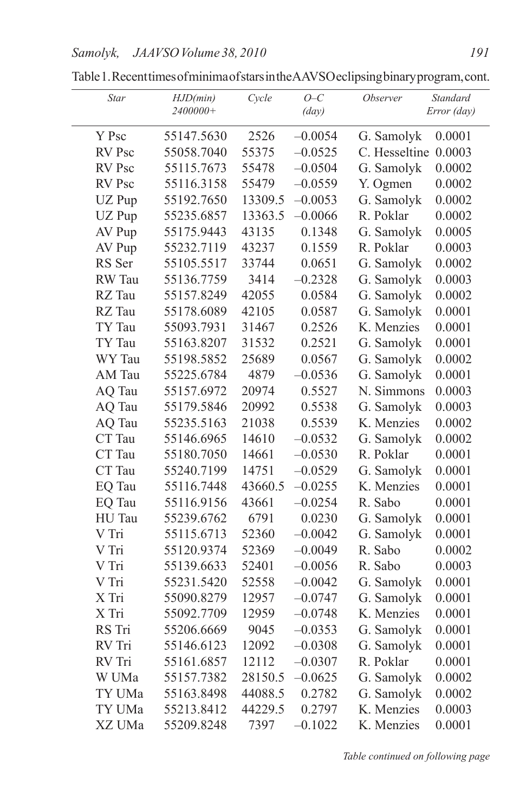| Star   | HJD(min)<br>2400000+ | Cycle   | $O-C$<br>(day) | <i><b>Observer</b></i><br><b>Standard</b><br>Error (day) |
|--------|----------------------|---------|----------------|----------------------------------------------------------|
| Y Psc  | 55147.5630           | 2526    | $-0.0054$      | G. Samolyk<br>0.0001                                     |
| RV Psc | 55058.7040           | 55375   | $-0.0525$      | C. Hesseltine<br>0.0003                                  |
| RV Psc | 55115.7673           | 55478   | $-0.0504$      | G. Samolyk<br>0.0002                                     |
| RV Psc |                      |         |                |                                                          |
|        | 55116.3158           | 55479   | $-0.0559$      | Y. Ogmen<br>0.0002                                       |
| UZ Pup | 55192.7650           | 13309.5 | $-0.0053$      | G. Samolyk<br>0.0002                                     |
| UZ Pup | 55235.6857           | 13363.5 | $-0.0066$      | R. Poklar<br>0.0002                                      |
| AV Pup | 55175.9443           | 43135   | 0.1348         | G. Samolyk<br>0.0005                                     |
| AV Pup | 55232.7119           | 43237   | 0.1559         | R. Poklar<br>0.0003                                      |
| RS Ser | 55105.5517           | 33744   | 0.0651         | G. Samolyk<br>0.0002                                     |
| RW Tau | 55136.7759           | 3414    | $-0.2328$      | G. Samolyk<br>0.0003                                     |
| RZ Tau | 55157.8249           | 42055   | 0.0584         | G. Samolyk<br>0.0002                                     |
| RZ Tau | 55178.6089           | 42105   | 0.0587         | G. Samolyk<br>0.0001                                     |
| TY Tau | 55093.7931           | 31467   | 0.2526         | K. Menzies<br>0.0001                                     |
| TY Tau | 55163.8207           | 31532   | 0.2521         | G. Samolyk<br>0.0001                                     |
| WY Tau | 55198.5852           | 25689   | 0.0567         | G. Samolyk<br>0.0002                                     |
| AM Tau | 55225.6784           | 4879    | $-0.0536$      | G. Samolyk<br>0.0001                                     |
| AQ Tau | 55157.6972           | 20974   | 0.5527         | N. Simmons<br>0.0003                                     |
| AQ Tau | 55179.5846           | 20992   | 0.5538         | G. Samolyk<br>0.0003                                     |
| AQ Tau | 55235.5163           | 21038   | 0.5539         | K. Menzies<br>0.0002                                     |
| CT Tau | 55146.6965           | 14610   | $-0.0532$      | G. Samolyk<br>0.0002                                     |
| CT Tau | 55180.7050           | 14661   | $-0.0530$      | R. Poklar<br>0.0001                                      |
| CT Tau | 55240.7199           | 14751   | $-0.0529$      | G. Samolyk<br>0.0001                                     |
| EQ Tau | 55116.7448           | 43660.5 | $-0.0255$      | K. Menzies<br>0.0001                                     |
| EQ Tau | 55116.9156           | 43661   | $-0.0254$      | R. Sabo<br>0.0001                                        |
| HU Tau | 55239.6762           | 6791    | 0.0230         | G. Samolyk<br>0.0001                                     |
| V Tri  | 55115.6713           | 52360   | $-0.0042$      | G. Samolyk<br>0.0001                                     |
| V Tri  | 55120.9374           | 52369   | $-0.0049$      | R. Sabo<br>0.0002                                        |
| V Tri  | 55139.6633           | 52401   | $-0.0056$      | R. Sabo<br>0.0003                                        |
| V Tri  | 55231.5420           | 52558   | $-0.0042$      | G. Samolyk<br>0.0001                                     |
| X Tri  | 55090.8279           | 12957   | $-0.0747$      | G. Samolyk<br>0.0001                                     |
| X Tri  | 55092.7709           | 12959   | $-0.0748$      | K. Menzies<br>0.0001                                     |
| RS Tri | 55206.6669           | 9045    | $-0.0353$      | G. Samolyk<br>0.0001                                     |
| RV Tri | 55146.6123           | 12092   | $-0.0308$      | G. Samolyk<br>0.0001                                     |
| RV Tri | 55161.6857           | 12112   | $-0.0307$      | R. Poklar<br>0.0001                                      |
| W UMa  | 55157.7382           | 28150.5 | $-0.0625$      | G. Samolyk<br>0.0002                                     |
| TY UMa | 55163.8498           | 44088.5 | 0.2782         | G. Samolyk<br>0.0002                                     |
| TY UMa | 55213.8412           | 44229.5 | 0.2797         | K. Menzies<br>0.0003                                     |
| XZ UMa | 55209.8248           | 7397    | $-0.1022$      | K. Menzies<br>0.0001                                     |

Table1.RecenttimesofminimaofstarsintheAAVSOeclipsingbinaryprogram,cont.